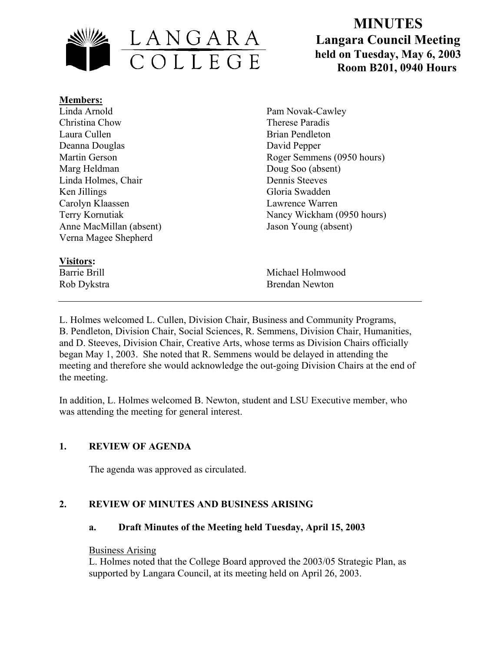

# **MINUTES Langara Council Meeting held on Tuesday, May 6, 2003 Room B201, 0940 Hours**

**Members:** Linda Arnold Christina Chow Laura Cullen Deanna Douglas Martin Gerson Marg Heldman Linda Holmes, Chair Ken Jillings Carolyn Klaassen Terry Kornutiak Anne MacMillan (absent) Verna Magee Shepherd

# **Visitors:**

Pam Novak-Cawley Therese Paradis Brian Pendleton David Pepper Roger Semmens (0950 hours) Doug Soo (absent) Dennis Steeves Gloria Swadden Lawrence Warren Nancy Wickham (0950 hours) Jason Young (absent)

Barrie Brill Michael Holmwood Rob Dykstra Brendan Newton

L. Holmes welcomed L. Cullen, Division Chair, Business and Community Programs, B. Pendleton, Division Chair, Social Sciences, R. Semmens, Division Chair, Humanities, and D. Steeves, Division Chair, Creative Arts, whose terms as Division Chairs officially began May 1, 2003. She noted that R. Semmens would be delayed in attending the meeting and therefore she would acknowledge the out-going Division Chairs at the end of the meeting.

In addition, L. Holmes welcomed B. Newton, student and LSU Executive member, who was attending the meeting for general interest.

# **1. REVIEW OF AGENDA**

The agenda was approved as circulated.

# **2. REVIEW OF MINUTES AND BUSINESS ARISING**

# **a. Draft Minutes of the Meeting held Tuesday, April 15, 2003**

#### Business Arising

L. Holmes noted that the College Board approved the 2003/05 Strategic Plan, as supported by Langara Council, at its meeting held on April 26, 2003.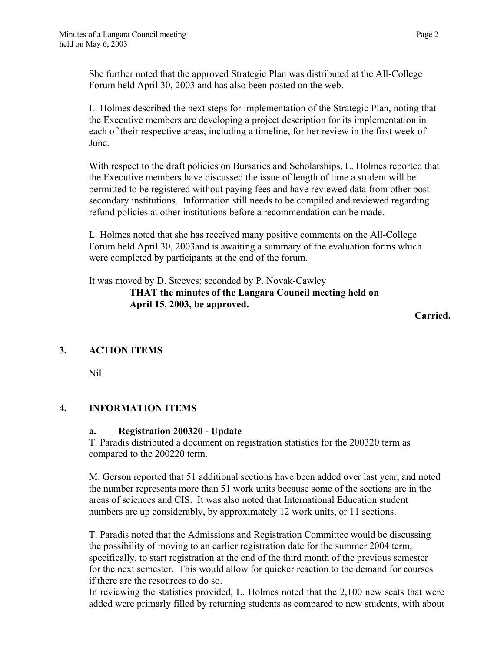She further noted that the approved Strategic Plan was distributed at the All-College Forum held April 30, 2003 and has also been posted on the web.

L. Holmes described the next steps for implementation of the Strategic Plan, noting that the Executive members are developing a project description for its implementation in each of their respective areas, including a timeline, for her review in the first week of June.

With respect to the draft policies on Bursaries and Scholarships, L. Holmes reported that the Executive members have discussed the issue of length of time a student will be permitted to be registered without paying fees and have reviewed data from other postsecondary institutions. Information still needs to be compiled and reviewed regarding refund policies at other institutions before a recommendation can be made.

L. Holmes noted that she has received many positive comments on the All-College Forum held April 30, 2003and is awaiting a summary of the evaluation forms which were completed by participants at the end of the forum.

It was moved by D. Steeves; seconded by P. Novak-Cawley  **THAT the minutes of the Langara Council meeting held on April 15, 2003, be approved.** 

*Carried. Carried.* 

# **3. ACTION ITEMS**

Nil.

# **4. INFORMATION ITEMS**

# **a. Registration 200320 - Update**

T. Paradis distributed a document on registration statistics for the 200320 term as compared to the 200220 term.

M. Gerson reported that 51 additional sections have been added over last year, and noted the number represents more than 51 work units because some of the sections are in the areas of sciences and CIS. It was also noted that International Education student numbers are up considerably, by approximately 12 work units, or 11 sections.

T. Paradis noted that the Admissions and Registration Committee would be discussing the possibility of moving to an earlier registration date for the summer 2004 term, specifically, to start registration at the end of the third month of the previous semester for the next semester. This would allow for quicker reaction to the demand for courses if there are the resources to do so.

In reviewing the statistics provided, L. Holmes noted that the 2,100 new seats that were added were primarly filled by returning students as compared to new students, with about